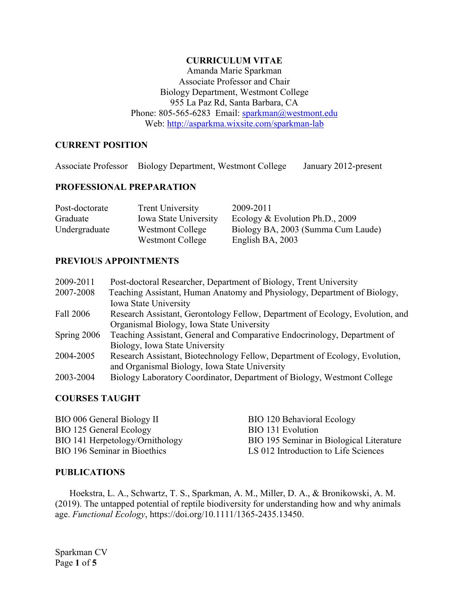## **CURRICULUM VITAE**

Amanda Marie Sparkman Associate Professor and Chair Biology Department, Westmont College 955 La Paz Rd, Santa Barbara, CA Phone: 805-565-6283 Email: [sparkman@westmont.edu](mailto:sparkman@westmont.edu) Web:<http://asparkma.wixsite.com/sparkman-lab>

# **CURRENT POSITION**

Associate Professor Biology Department, Westmont College January 2012-present

## **PROFESSIONAL PREPARATION**

| Post-doctorate | <b>Trent University</b>      | 2009-2011                          |
|----------------|------------------------------|------------------------------------|
| Graduate       | <b>Iowa State University</b> | Ecology & Evolution Ph.D., 2009    |
| Undergraduate  | Westmont College             | Biology BA, 2003 (Summa Cum Laude) |
|                | Westmont College             | English BA, 2003                   |

## **PREVIOUS APPOINTMENTS**

| 2009-2011   | Post-doctoral Researcher, Department of Biology, Trent University             |
|-------------|-------------------------------------------------------------------------------|
| 2007-2008   | Teaching Assistant, Human Anatomy and Physiology, Department of Biology,      |
|             | Iowa State University                                                         |
| Fall 2006   | Research Assistant, Gerontology Fellow, Department of Ecology, Evolution, and |
|             | Organismal Biology, Iowa State University                                     |
| Spring 2006 | Teaching Assistant, General and Comparative Endocrinology, Department of      |
|             | Biology, Iowa State University                                                |
| 2004-2005   | Research Assistant, Biotechnology Fellow, Department of Ecology, Evolution,   |
|             | and Organismal Biology, Iowa State University                                 |
| 2003-2004   | Biology Laboratory Coordinator, Department of Biology, Westmont College       |
|             |                                                                               |

#### **COURSES TAUGHT**

| BIO 006 General Biology II          | BIO 120 Behavioral Ecology               |
|-------------------------------------|------------------------------------------|
| BIO 125 General Ecology             | BIO 131 Evolution                        |
| BIO 141 Herpetology/Ornithology     | BIO 195 Seminar in Biological Literature |
| <b>BIO 196 Seminar in Bioethics</b> | LS 012 Introduction to Life Sciences     |

#### **PUBLICATIONS**

Hoekstra, L. A., Schwartz, T. S., Sparkman, A. M., Miller, D. A., & Bronikowski, A. M. (2019). The untapped potential of reptile biodiversity for understanding how and why animals age. *Functional Ecology*, https://doi.org/10.1111/1365-2435.13450.

Sparkman CV Page **1** of **5**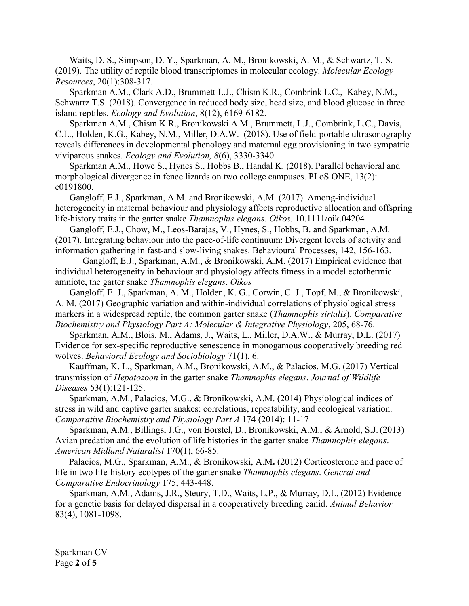Waits, D. S., Simpson, D. Y., Sparkman, A. M., Bronikowski, A. M., & Schwartz, T. S. (2019). The utility of reptile blood transcriptomes in molecular ecology. *Molecular Ecology Resources*, 20(1):308-317.

Sparkman A.M., Clark A.D., Brummett L.J., Chism K.R., Combrink L.C., Kabey, N.M., Schwartz T.S. (2018). Convergence in reduced body size, head size, and blood glucose in three island reptiles. *Ecology and Evolution*, 8(12), 6169-6182.

Sparkman A.M., Chism K.R., Bronikowski A.M., Brummett, L.J., Combrink, L.C., Davis, C.L., Holden, K.G., Kabey, N.M., Miller, D.A.W. (2018). Use of field-portable ultrasonography reveals differences in developmental phenology and maternal egg provisioning in two sympatric viviparous snakes. *Ecology and Evolution, 8*(6), 3330-3340.

Sparkman A.M., Howe S., Hynes S., Hobbs B., Handal K. (2018). Parallel behavioral and morphological divergence in fence lizards on two college campuses. PLoS ONE, 13(2): e0191800.

Gangloff, E.J., Sparkman, A.M. and Bronikowski, A.M. (2017). Among‐individual heterogeneity in maternal behaviour and physiology affects reproductive allocation and offspring life‐history traits in the garter snake *Thamnophis elegans*. *Oikos.* 10.1111/oik.04204

Gangloff, E.J., Chow, M., Leos-Barajas, V., Hynes, S., Hobbs, B. and Sparkman, A.M. (2017). Integrating behaviour into the pace-of-life continuum: Divergent levels of activity and information gathering in fast-and slow-living snakes. Behavioural Processes, 142, 156-163.

Gangloff, E.J., Sparkman, A.M., & Bronikowski, A.M. (2017) Empirical evidence that individual heterogeneity in behaviour and physiology affects fitness in a model ectothermic amniote, the garter snake *Thamnophis elegans*. *Oikos* 

Gangloff, E. J., Sparkman, A. M., Holden, K. G., Corwin, C. J., Topf, M., & Bronikowski, A. M. (2017) Geographic variation and within-individual correlations of physiological stress markers in a widespread reptile, the common garter snake (*Thamnophis sirtalis*). *Comparative Biochemistry and Physiology Part A: Molecular & Integrative Physiology*, 205, 68-76.

Sparkman, A.M., Blois, M., Adams, J., Waits, L., Miller, D.A.W., & Murray, D.L. (2017) Evidence for sex-specific reproductive senescence in monogamous cooperatively breeding red wolves. *Behavioral Ecology and Sociobiology* 71(1), 6.

Kauffman, K. L., Sparkman, A.M., Bronikowski, A.M., & Palacios, M.G. (2017) Vertical transmission of *Hepatozoon* in the garter snake *Thamnophis elegans*. *Journal of Wildlife Diseases* 53(1):121-125.

Sparkman, A.M., Palacios, M.G., & Bronikowski, A.M. (2014) Physiological indices of stress in wild and captive garter snakes: correlations, repeatability, and ecological variation. *Comparative Biochemistry and Physiology Part A* 174 (2014): 11-17

Sparkman, A.M., Billings, J.G., von Borstel, D., Bronikowski, A.M., & Arnold, S.J.(2013) Avian predation and the evolution of life histories in the garter snake *Thamnophis elegans*. *American Midland Naturalist* 170(1), 66-85.

Palacios, M.G., Sparkman, A.M., & Bronikowski, A.M**.** (2012) Corticosterone and pace of life in two life-history ecotypes of the garter snake *Thamnophis elegans*. *General and Comparative Endocrinology* 175, 443-448.

Sparkman, A.M., Adams, J.R., Steury, T.D., Waits, L.P., & Murray, D.L. (2012) Evidence for a genetic basis for delayed dispersal in a cooperatively breeding canid. *Animal Behavior* 83(4), 1081-1098.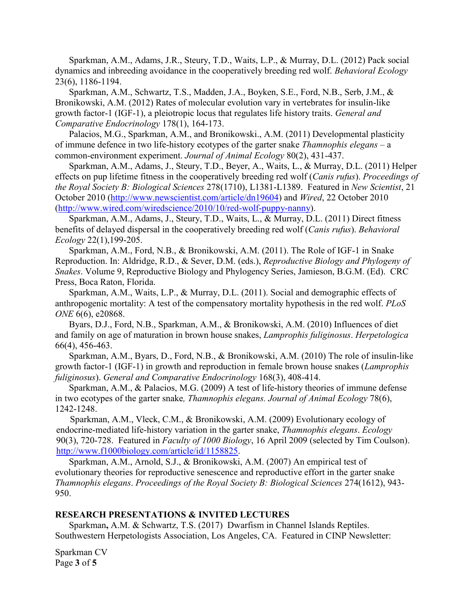Sparkman, A.M., Adams, J.R., Steury, T.D., Waits, L.P., & Murray, D.L. (2012) Pack social dynamics and inbreeding avoidance in the cooperatively breeding red wolf. *Behavioral Ecology*  23(6), 1186-1194.

Sparkman, A.M., Schwartz, T.S., Madden, J.A., Boyken, S.E., Ford, N.B., Serb, J.M., & Bronikowski, A.M. (2012) Rates of molecular evolution vary in vertebrates for insulin-like growth factor-1 (IGF-1), a pleiotropic locus that regulates life history traits. *General and Comparative Endocrinology* 178(1), 164-173.

Palacios, M.G., Sparkman, A.M., and Bronikowski., A.M. (2011) Developmental plasticity of immune defence in two life-history ecotypes of the garter snake *Thamnophis elegans* – a common-environment experiment. *Journal of Animal Ecology* 80(2), 431-437.

Sparkman, A.M., Adams, J., Steury, T.D., Beyer, A., Waits, L., & Murray, D.L. (2011) Helper effects on pup lifetime fitness in the cooperatively breeding red wolf (*Canis rufus*). *Proceedings of the Royal Society B: Biological Sciences* 278(1710), L1381-L1389. Featured in *New Scientist*, 21 October 2010 [\(http://www.newscientist.com/article/dn19604\)](http://www.newscientist.com/article/dn19604) and *Wired*, 22 October 2010 [\(http://www.wired.com/wiredscience/2010/10/red-wolf-puppy-nanny\)](http://www.wired.com/wiredscience/2010/10/red-wolf-puppy-nanny).

Sparkman, A.M., Adams, J., Steury, T.D., Waits, L., & Murray, D.L. (2011) Direct fitness benefits of delayed dispersal in the cooperatively breeding red wolf (*Canis rufus*). *Behavioral Ecology* 22(1),199-205.

Sparkman, A.M., Ford, N.B., & Bronikowski, A.M. (2011). The Role of IGF-1 in Snake Reproduction. In: Aldridge, R.D., & Sever, D.M. (eds.), *Reproductive Biology and Phylogeny of Snakes*. Volume 9, Reproductive Biology and Phylogency Series, Jamieson, B.G.M. (Ed). CRC Press, Boca Raton, Florida.

Sparkman, A.M., Waits, L.P., & Murray, D.L. (2011). Social and demographic effects of anthropogenic mortality: A test of the compensatory mortality hypothesis in the red wolf. *PLoS ONE* 6(6), e20868.

Byars, D.J., Ford, N.B., Sparkman, A.M., & Bronikowski, A.M. (2010) Influences of diet and family on age of maturation in brown house snakes, *Lamprophis fuliginosus*. *Herpetologica*  66(4), 456-463.

Sparkman, A.M., Byars, D., Ford, N.B., & Bronikowski, A.M. (2010) The role of insulin-like growth factor-1 (IGF-1) in growth and reproduction in female brown house snakes (*Lamprophis fuliginosus*). *General and Comparative Endocrinology* 168(3), 408-414.

Sparkman, A.M., & Palacios, M.G. (2009) A test of life-history theories of immune defense in two ecotypes of the garter snake*, Thamnophis elegans. Journal of Animal Ecology* 78(6), 1242-1248.

 Sparkman, A.M., Vleck, C.M., & Bronikowski, A.M. (2009) Evolutionary ecology of endocrine-mediated life-history variation in the garter snake, *Thamnophis elegans*. *Ecology* 90(3), 720-728. Featured in *Faculty of 1000 Biology*, 16 April 2009 (selected by Tim Coulson). [http://www.f1000biology.com/article/id/1158825.](https://webmail.iastate.edu/cgi-bin/mailman?NOFRAMES=TRUE&BACKGROUND=http%3a%2f%2fwww%2ef1000biology%2ecom%2farticle%2fid%2f1158825)

Sparkman, A.M., Arnold, S.J., & Bronikowski, A.M. (2007) An empirical test of evolutionary theories for reproductive senescence and reproductive effort in the garter snake *Thamnophis elegans*. *Proceedings of the Royal Society B: Biological Sciences* 274(1612), 943- 950.

#### **RESEARCH PRESENTATIONS & INVITED LECTURES**

Sparkman**,** A.M. & Schwartz, T.S. (2017) Dwarfism in Channel Islands Reptiles. Southwestern Herpetologists Association, Los Angeles, CA. Featured in CINP Newsletter:

Sparkman CV Page **3** of **5**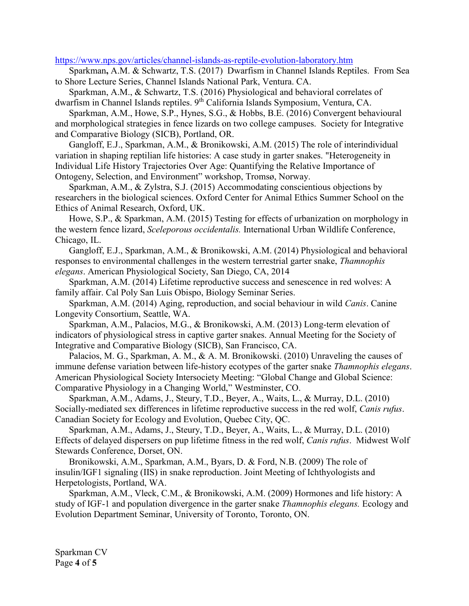#### <https://www.nps.gov/articles/channel-islands-as-reptile-evolution-laboratory.htm>

Sparkman**,** A.M. & Schwartz, T.S. (2017) Dwarfism in Channel Islands Reptiles. From Sea to Shore Lecture Series, Channel Islands National Park, Ventura. CA.

Sparkman, A.M., & Schwartz, T.S. (2016) Physiological and behavioral correlates of dwarfism in Channel Islands reptiles. 9<sup>th</sup> California Islands Symposium, Ventura, CA.

Sparkman, A.M., Howe, S.P., Hynes, S.G., & Hobbs, B.E. (2016) Convergent behavioural and morphological strategies in fence lizards on two college campuses. Society for Integrative and Comparative Biology (SICB), Portland, OR.

Gangloff, E.J., Sparkman, A.M., & Bronikowski, A.M. (2015) The role of interindividual variation in shaping reptilian life histories: A case study in garter snakes. "Heterogeneity in Individual Life History Trajectories Over Age: Quantifying the Relative Importance of Ontogeny, Selection, and Environment" workshop, Tromsø, Norway.

Sparkman, A.M., & Zylstra, S.J. (2015) Accommodating conscientious objections by researchers in the biological sciences. Oxford Center for Animal Ethics Summer School on the Ethics of Animal Research, Oxford, UK.

Howe, S.P., & Sparkman, A.M. (2015) Testing for effects of urbanization on morphology in the western fence lizard, *Sceleporous occidentalis.* International Urban Wildlife Conference, Chicago, IL.

Gangloff, E.J., Sparkman, A.M., & Bronikowski, A.M. (2014) Physiological and behavioral responses to environmental challenges in the western terrestrial garter snake, *Thamnophis elegans*. American Physiological Society, San Diego, CA, 2014

Sparkman, A.M. (2014) Lifetime reproductive success and senescence in red wolves: A family affair. Cal Poly San Luis Obispo, Biology Seminar Series.

Sparkman, A.M. (2014) Aging, reproduction, and social behaviour in wild *Canis*. Canine Longevity Consortium, Seattle, WA.

Sparkman, A.M., Palacios, M.G., & Bronikowski, A.M. (2013) Long-term elevation of indicators of physiological stress in captive garter snakes. Annual Meeting for the Society of Integrative and Comparative Biology (SICB), San Francisco, CA.

Palacios, M. G., Sparkman, A. M., & A. M. Bronikowski. (2010) Unraveling the causes of immune defense variation between life-history ecotypes of the garter snake *Thamnophis elegans*. American Physiological Society Intersociety Meeting: "Global Change and Global Science: Comparative Physiology in a Changing World," Westminster, CO.

Sparkman, A.M., Adams, J., Steury, T.D., Beyer, A., Waits, L., & Murray, D.L. (2010) Socially-mediated sex differences in lifetime reproductive success in the red wolf, *Canis rufus*. Canadian Society for Ecology and Evolution, Quebec City, QC.

Sparkman, A.M., Adams, J., Steury, T.D., Beyer, A., Waits, L., & Murray, D.L. (2010) Effects of delayed dispersers on pup lifetime fitness in the red wolf, *Canis rufus*. Midwest Wolf Stewards Conference, Dorset, ON.

Bronikowski, A.M., Sparkman, A.M., Byars, D. & Ford, N.B. (2009) The role of insulin/IGF1 signaling (IIS) in snake reproduction. Joint Meeting of Ichthyologists and Herpetologists, Portland, WA.

Sparkman, A.M., Vleck, C.M., & Bronikowski, A.M. (2009) Hormones and life history: A study of IGF-1 and population divergence in the garter snake *Thamnophis elegans.* Ecology and Evolution Department Seminar, University of Toronto, Toronto, ON.